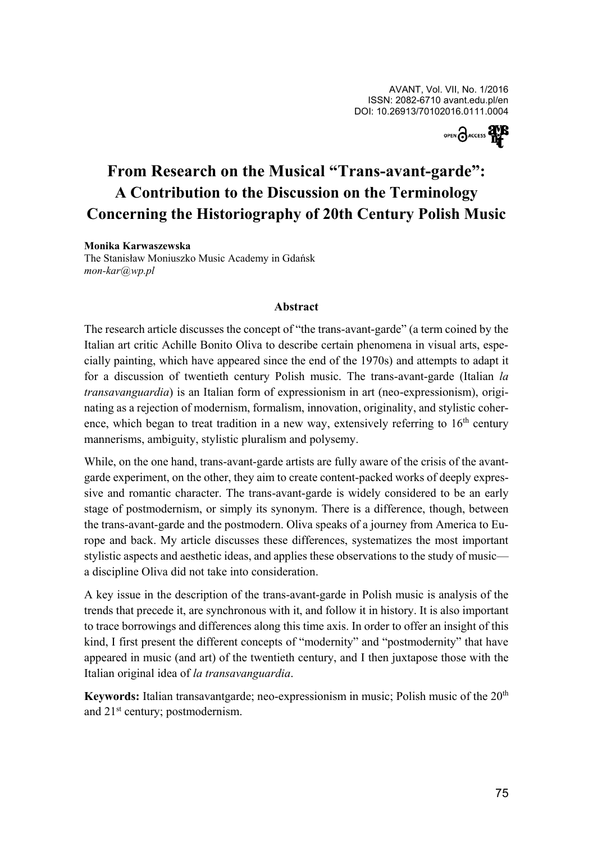

# **From Research on the Musical "Trans-avant-garde": A Contribution to the Discussion on the Terminology Concerning the Historiography of 20th Century Polish Music**

## **Monika Karwaszewska**

The Stanisław Moniuszko Music Academy in Gdańsk *mon-kar-@-wp.pl*

#### **Abstract**

The research article discusses the concept of "the trans-avant-garde" (a term coined by the Italian art critic Achille Bonito Oliva to describe certain phenomena in visual arts, especially painting, which have appeared since the end of the 1970s) and attempts to adapt it for a discussion of twentieth century Polish music. The trans-avant-garde (Italian *la transavanguardia*) is an Italian form of expressionism in art (neo-expressionism), originating as a rejection of modernism, formalism, innovation, originality, and stylistic coherence, which began to treat tradition in a new way, extensively referring to  $16<sup>th</sup>$  century mannerisms, ambiguity, stylistic pluralism and polysemy.

While, on the one hand, trans-avant-garde artists are fully aware of the crisis of the avantgarde experiment, on the other, they aim to create content-packed works of deeply expressive and romantic character. The trans-avant-garde is widely considered to be an early stage of postmodernism, or simply its synonym. There is a difference, though, between the trans-avant-garde and the postmodern. Oliva speaks of a journey from America to Europe and back. My article discusses these differences, systematizes the most important stylistic aspects and aesthetic ideas, and applies these observations to the study of music a discipline Oliva did not take into consideration.

A key issue in the description of the trans-avant-garde in Polish music is analysis of the trends that precede it, are synchronous with it, and follow it in history. It is also important to trace borrowings and differences along this time axis. In order to offer an insight of this kind, I first present the different concepts of "modernity" and "postmodernity" that have appeared in music (and art) of the twentieth century, and I then juxtapose those with the Italian original idea of *la transavanguardia*.

**Keywords:** Italian transavantgarde; neo-expressionism in music; Polish music of the 20th and 21<sup>st</sup> century; postmodernism.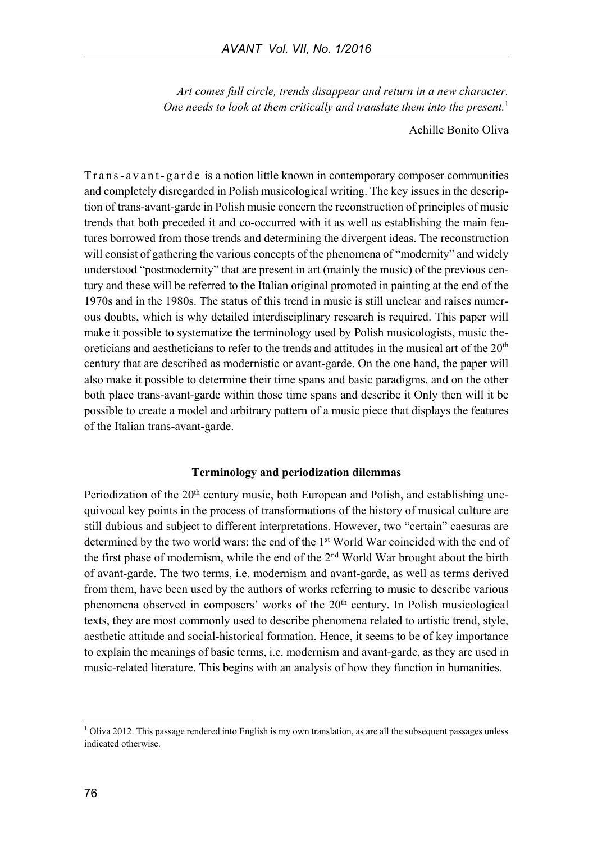*Art comes full circle, trends disappear and return in a new character. One needs to look at them critically and translate them into the present.* 1

Achille Bonito Oliva

Trans-avant-garde is a notion little known in contemporary composer communities and completely disregarded in Polish musicological writing. The key issues in the description of trans-avant-garde in Polish music concern the reconstruction of principles of music trends that both preceded it and co-occurred with it as well as establishing the main features borrowed from those trends and determining the divergent ideas. The reconstruction will consist of gathering the various concepts of the phenomena of "modernity" and widely understood "postmodernity" that are present in art (mainly the music) of the previous century and these will be referred to the Italian original promoted in painting at the end of the 1970s and in the 1980s. The status of this trend in music is still unclear and raises numerous doubts, which is why detailed interdisciplinary research is required. This paper will make it possible to systematize the terminology used by Polish musicologists, music theoreticians and aestheticians to refer to the trends and attitudes in the musical art of the  $20<sup>th</sup>$ century that are described as modernistic or avant-garde. On the one hand, the paper will also make it possible to determine their time spans and basic paradigms, and on the other both place trans-avant-garde within those time spans and describe it Only then will it be possible to create a model and arbitrary pattern of a music piece that displays the features of the Italian trans-avant-garde.

#### **Terminology and periodization dilemmas**

Periodization of the 20<sup>th</sup> century music, both European and Polish, and establishing unequivocal key points in the process of transformations of the history of musical culture are still dubious and subject to different interpretations. However, two "certain" caesuras are determined by the two world wars: the end of the 1st World War coincided with the end of the first phase of modernism, while the end of the 2nd World War brought about the birth of avant-garde. The two terms, i.e. modernism and avant-garde, as well as terms derived from them, have been used by the authors of works referring to music to describe various phenomena observed in composers' works of the  $20<sup>th</sup>$  century. In Polish musicological texts, they are most commonly used to describe phenomena related to artistic trend, style, aesthetic attitude and social-historical formation. Hence, it seems to be of key importance to explain the meanings of basic terms, i.e. modernism and avant-garde, as they are used in music-related literature. This begins with an analysis of how they function in humanities.

 $\overline{a}$ 

 $1$  Oliva 2012. This passage rendered into English is my own translation, as are all the subsequent passages unless indicated otherwise.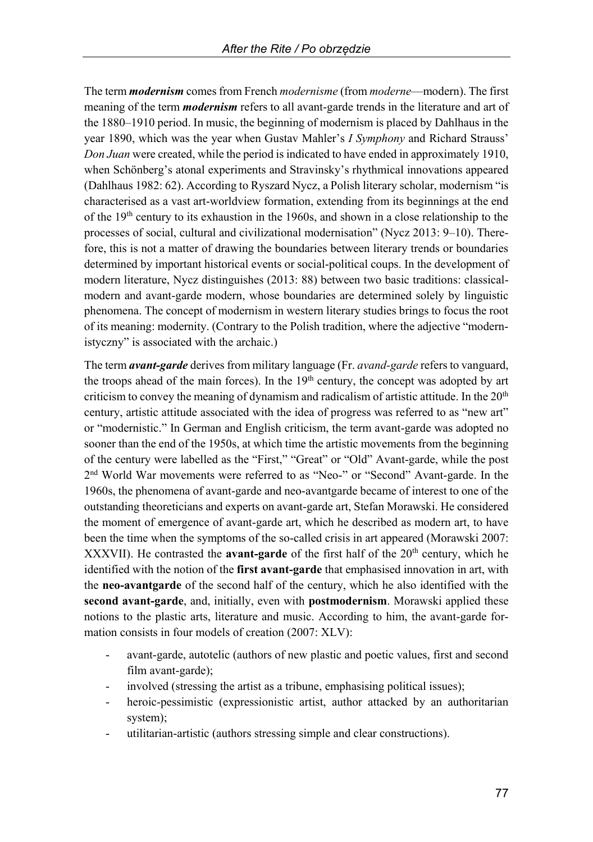The term *modernism* comes from French *modernisme* (from *moderne*—modern). The first meaning of the term *modernism* refers to all avant-garde trends in the literature and art of the 1880–1910 period. In music, the beginning of modernism is placed by Dahlhaus in the year 1890, which was the year when Gustav Mahler's *I Symphony* and Richard Strauss' *Don Juan* were created, while the period is indicated to have ended in approximately 1910, when Schönberg's atonal experiments and Stravinsky's rhythmical innovations appeared (Dahlhaus 1982: 62). According to Ryszard Nycz, a Polish literary scholar, modernism "is characterised as a vast art-worldview formation, extending from its beginnings at the end of the 19th century to its exhaustion in the 1960s, and shown in a close relationship to the processes of social, cultural and civilizational modernisation" (Nycz 2013: 9–10). Therefore, this is not a matter of drawing the boundaries between literary trends or boundaries determined by important historical events or social-political coups. In the development of modern literature, Nycz distinguishes (2013: 88) between two basic traditions: classicalmodern and avant-garde modern, whose boundaries are determined solely by linguistic phenomena. The concept of modernism in western literary studies brings to focus the root of its meaning: modernity. (Contrary to the Polish tradition, where the adjective "modernistyczny" is associated with the archaic.)

The term *avant-garde* derives from military language (Fr. *avand-garde* refers to vanguard, the troops ahead of the main forces). In the  $19<sup>th</sup>$  century, the concept was adopted by art criticism to convey the meaning of dynamism and radicalism of artistic attitude. In the  $20<sup>th</sup>$ century, artistic attitude associated with the idea of progress was referred to as "new art" or "modernistic." In German and English criticism, the term avant-garde was adopted no sooner than the end of the 1950s, at which time the artistic movements from the beginning of the century were labelled as the "First," "Great" or "Old" Avant-garde, while the post 2 nd World War movements were referred to as "Neo-" or "Second" Avant-garde. In the 1960s, the phenomena of avant-garde and neo-avantgarde became of interest to one of the outstanding theoreticians and experts on avant-garde art, Stefan Morawski. He considered the moment of emergence of avant-garde art, which he described as modern art, to have been the time when the symptoms of the so-called crisis in art appeared (Morawski 2007: XXXVII). He contrasted the **avant-garde** of the first half of the 20<sup>th</sup> century, which he identified with the notion of the **first avant-garde** that emphasised innovation in art, with the **neo-avantgarde** of the second half of the century, which he also identified with the **second avant-garde**, and, initially, even with **postmodernism**. Morawski applied these notions to the plastic arts, literature and music. According to him, the avant-garde formation consists in four models of creation (2007: XLV):

- avant-garde, autotelic (authors of new plastic and poetic values, first and second film avant-garde);
- involved (stressing the artist as a tribune, emphasising political issues);
- heroic-pessimistic (expressionistic artist, author attacked by an authoritarian system);
- utilitarian-artistic (authors stressing simple and clear constructions).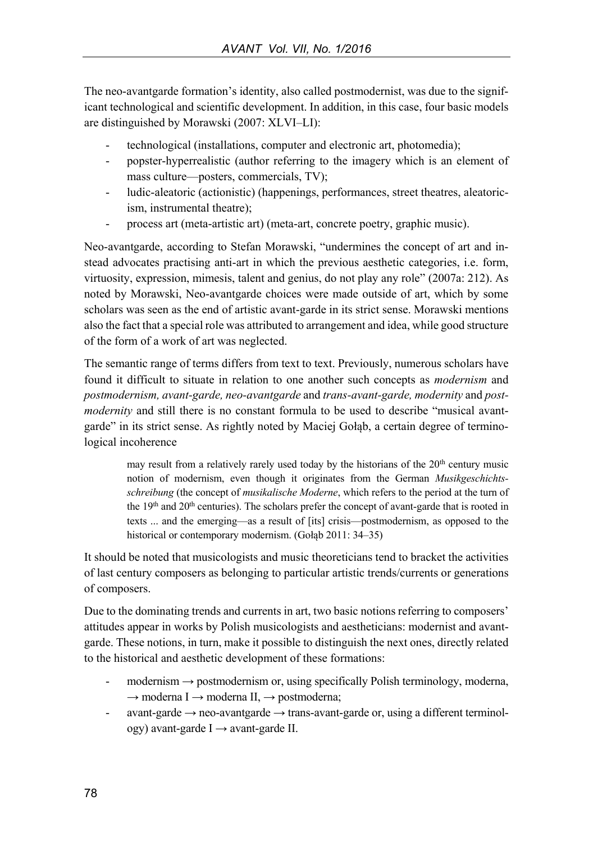The neo-avantgarde formation's identity, also called postmodernist, was due to the significant technological and scientific development. In addition, in this case, four basic models are distinguished by Morawski (2007: XLVI–LI):

- technological (installations, computer and electronic art, photomedia);
- popster-hyperrealistic (author referring to the imagery which is an element of mass culture—posters, commercials, TV);
- ludic-aleatoric (actionistic) (happenings, performances, street theatres, aleatoricism, instrumental theatre);
- process art (meta-artistic art) (meta-art, concrete poetry, graphic music).

Neo-avantgarde, according to Stefan Morawski, "undermines the concept of art and instead advocates practising anti-art in which the previous aesthetic categories, i.e. form, virtuosity, expression, mimesis, talent and genius, do not play any role" (2007a: 212). As noted by Morawski, Neo-avantgarde choices were made outside of art, which by some scholars was seen as the end of artistic avant-garde in its strict sense. Morawski mentions also the fact that a special role was attributed to arrangement and idea, while good structure of the form of a work of art was neglected.

The semantic range of terms differs from text to text. Previously, numerous scholars have found it difficult to situate in relation to one another such concepts as *modernism* and *postmodernism, avant-garde, neo-avantgarde* and *trans-avant-garde, modernity* and *postmodernity* and still there is no constant formula to be used to describe "musical avantgarde" in its strict sense. As rightly noted by Maciej Gołąb, a certain degree of terminological incoherence

> may result from a relatively rarely used today by the historians of the  $20<sup>th</sup>$  century music notion of modernism, even though it originates from the German *Musikgeschichtsschreibung* (the concept of *musikalische Moderne*, which refers to the period at the turn of the 19<sup>th</sup> and 20<sup>th</sup> centuries). The scholars prefer the concept of avant-garde that is rooted in texts ... and the emerging—as a result of [its] crisis—postmodernism, as opposed to the historical or contemporary modernism. (Gołąb 2011: 34–35)

It should be noted that musicologists and music theoreticians tend to bracket the activities of last century composers as belonging to particular artistic trends/currents or generations of composers.

Due to the dominating trends and currents in art, two basic notions referring to composers' attitudes appear in works by Polish musicologists and aestheticians: modernist and avantgarde. These notions, in turn, make it possible to distinguish the next ones, directly related to the historical and aesthetic development of these formations:

- $modernism \rightarrow postmodernism$  or, using specifically Polish terminology, moderna,  $\rightarrow$  moderna I $\rightarrow$  moderna II,  $\rightarrow$  postmoderna;
- avant-garde  $\rightarrow$  neo-avantgarde  $\rightarrow$  trans-avant-garde or, using a different terminology) avant-garde I → avant-garde II.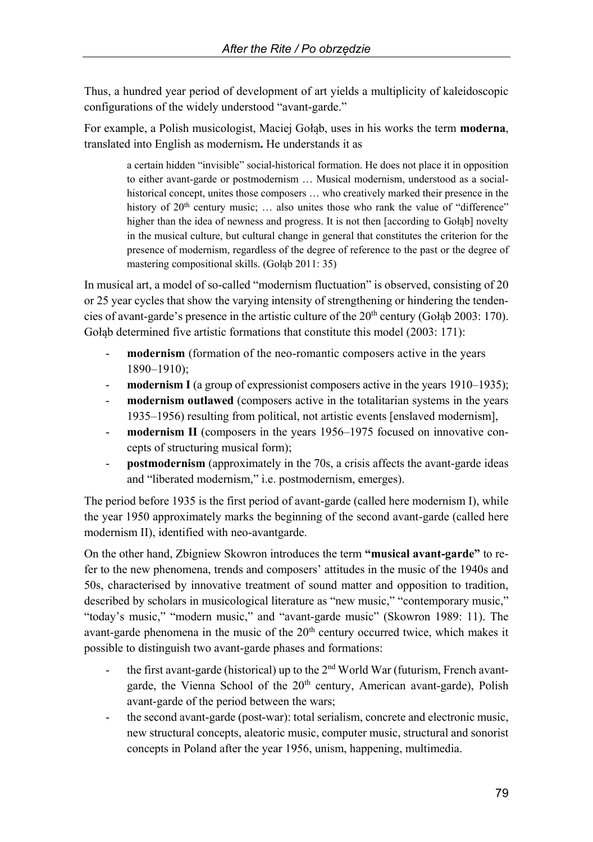Thus, a hundred year period of development of art yields a multiplicity of kaleidoscopic configurations of the widely understood "avant-garde."

For example, a Polish musicologist, Maciej Gołąb, uses in his works the term **moderna**, translated into English as modernism**.** He understands it as

> a certain hidden "invisible" social-historical formation. He does not place it in opposition to either avant-garde or postmodernism … Musical modernism, understood as a socialhistorical concept, unites those composers … who creatively marked their presence in the history of  $20<sup>th</sup>$  century music; ... also unites those who rank the value of "difference" higher than the idea of newness and progress. It is not then [according to Gołąb] novelty in the musical culture, but cultural change in general that constitutes the criterion for the presence of modernism, regardless of the degree of reference to the past or the degree of mastering compositional skills. (Gołąb 2011: 35)

In musical art, a model of so-called "modernism fluctuation" is observed, consisting of 20 or 25 year cycles that show the varying intensity of strengthening or hindering the tendencies of avant-garde's presence in the artistic culture of the  $20<sup>th</sup>$  century (Gołąb 2003: 170). Gołąb determined five artistic formations that constitute this model (2003: 171):

- modernism (formation of the neo-romantic composers active in the years 1890–1910);
- modernism I (a group of expressionist composers active in the years 1910–1935);
- **modernism outlawed** (composers active in the totalitarian systems in the years 1935–1956) resulting from political, not artistic events [enslaved modernism],
- **modernism II** (composers in the years 1956–1975 focused on innovative concepts of structuring musical form);
- postmodernism (approximately in the 70s, a crisis affects the avant-garde ideas and "liberated modernism," i.e. postmodernism, emerges).

The period before 1935 is the first period of avant-garde (called here modernism I), while the year 1950 approximately marks the beginning of the second avant-garde (called here modernism II), identified with neo-avantgarde.

On the other hand, Zbigniew Skowron introduces the term **"musical avant-garde"** to refer to the new phenomena, trends and composers' attitudes in the music of the 1940s and 50s, characterised by innovative treatment of sound matter and opposition to tradition, described by scholars in musicological literature as "new music," "contemporary music," "today's music," "modern music," and "avant-garde music" (Skowron 1989: 11). The avant-garde phenomena in the music of the 20<sup>th</sup> century occurred twice, which makes it possible to distinguish two avant-garde phases and formations:

- the first avant-garde (historical) up to the  $2<sup>nd</sup>$  World War (futurism, French avantgarde, the Vienna School of the 20<sup>th</sup> century, American avant-garde), Polish avant-garde of the period between the wars;
- the second avant-garde (post-war): total serialism, concrete and electronic music, new structural concepts, aleatoric music, computer music, structural and sonorist concepts in Poland after the year 1956, unism, happening, multimedia.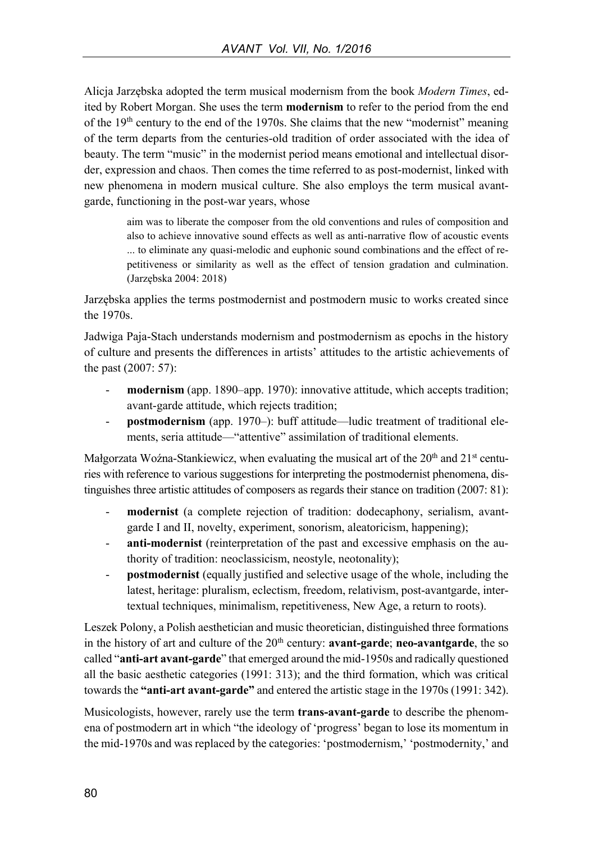Alicja Jarzębska adopted the term musical modernism from the book *Modern Times*, edited by Robert Morgan. She uses the term **modernism** to refer to the period from the end of the  $19<sup>th</sup>$  century to the end of the 1970s. She claims that the new "modernist" meaning of the term departs from the centuries-old tradition of order associated with the idea of beauty. The term "music" in the modernist period means emotional and intellectual disorder, expression and chaos. Then comes the time referred to as post-modernist, linked with new phenomena in modern musical culture. She also employs the term musical avantgarde, functioning in the post-war years, whose

> aim was to liberate the composer from the old conventions and rules of composition and also to achieve innovative sound effects as well as anti-narrative flow of acoustic events ... to eliminate any quasi-melodic and euphonic sound combinations and the effect of repetitiveness or similarity as well as the effect of tension gradation and culmination. (Jarzębska 2004: 2018)

Jarzębska applies the terms postmodernist and postmodern music to works created since the 1970s.

Jadwiga Paja-Stach understands modernism and postmodernism as epochs in the history of culture and presents the differences in artists' attitudes to the artistic achievements of the past (2007: 57):

- **modernism** (app. 1890–app. 1970): innovative attitude, which accepts tradition; avant-garde attitude, which rejects tradition;
- **postmodernism** (app. 1970–): buff attitude—ludic treatment of traditional elements, seria attitude—"attentive" assimilation of traditional elements.

Małgorzata Woźna-Stankiewicz, when evaluating the musical art of the 20<sup>th</sup> and 21<sup>st</sup> centuries with reference to various suggestions for interpreting the postmodernist phenomena, distinguishes three artistic attitudes of composers as regards their stance on tradition (2007: 81):

- modernist (a complete rejection of tradition: dodecaphony, serialism, avantgarde I and II, novelty, experiment, sonorism, aleatoricism, happening);
- **anti-modernist** (reinterpretation of the past and excessive emphasis on the authority of tradition: neoclassicism, neostyle, neotonality);
- **postmodernist** (equally justified and selective usage of the whole, including the latest, heritage: pluralism, eclectism, freedom, relativism, post-avantgarde, intertextual techniques, minimalism, repetitiveness, New Age, a return to roots).

Leszek Polony, a Polish aesthetician and music theoretician, distinguished three formations in the history of art and culture of the 20<sup>th</sup> century: **avant-garde**; **neo-avantgarde**, the so called "**anti-art avant-garde**" that emerged around the mid-1950s and radically questioned all the basic aesthetic categories (1991: 313); and the third formation, which was critical towards the **"anti-art avant-garde"** and entered the artistic stage in the 1970s (1991: 342).

Musicologists, however, rarely use the term **trans-avant-garde** to describe the phenomena of postmodern art in which "the ideology of 'progress' began to lose its momentum in the mid-1970s and was replaced by the categories: 'postmodernism,' 'postmodernity,' and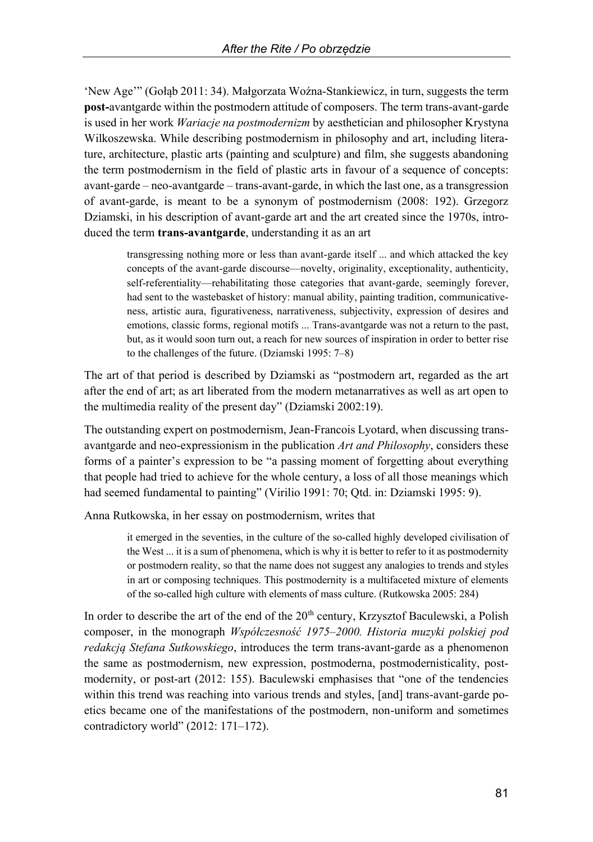'New Age'" (Gołąb 2011: 34). Małgorzata Woźna-Stankiewicz, in turn, suggests the term **post-**avantgarde within the postmodern attitude of composers. The term trans-avant-garde is used in her work *Wariacje na postmodernizm* by aesthetician and philosopher Krystyna Wilkoszewska. While describing postmodernism in philosophy and art, including literature, architecture, plastic arts (painting and sculpture) and film, she suggests abandoning the term postmodernism in the field of plastic arts in favour of a sequence of concepts: avant-garde – neo-avantgarde – trans-avant-garde, in which the last one, as a transgression of avant-garde, is meant to be a synonym of postmodernism (2008: 192). Grzegorz Dziamski, in his description of avant-garde art and the art created since the 1970s, introduced the term **trans-avantgarde**, understanding it as an art

> transgressing nothing more or less than avant-garde itself ... and which attacked the key concepts of the avant-garde discourse—novelty, originality, exceptionality, authenticity, self-referentiality—rehabilitating those categories that avant-garde, seemingly forever, had sent to the wastebasket of history: manual ability, painting tradition, communicativeness, artistic aura, figurativeness, narrativeness, subjectivity, expression of desires and emotions, classic forms, regional motifs ... Trans-avantgarde was not a return to the past, but, as it would soon turn out, a reach for new sources of inspiration in order to better rise to the challenges of the future. (Dziamski 1995: 7–8)

The art of that period is described by Dziamski as "postmodern art, regarded as the art after the end of art; as art liberated from the modern metanarratives as well as art open to the multimedia reality of the present day" (Dziamski 2002:19).

The outstanding expert on postmodernism, Jean-Francois Lyotard, when discussing transavantgarde and neo-expressionism in the publication *Art and Philosophy*, considers these forms of a painter's expression to be "a passing moment of forgetting about everything that people had tried to achieve for the whole century, a loss of all those meanings which had seemed fundamental to painting" (Virilio 1991: 70; Qtd. in: Dziamski 1995: 9).

Anna Rutkowska, in her essay on postmodernism, writes that

it emerged in the seventies, in the culture of the so-called highly developed civilisation of the West ... it is a sum of phenomena, which is why it is better to refer to it as postmodernity or postmodern reality, so that the name does not suggest any analogies to trends and styles in art or composing techniques. This postmodernity is a multifaceted mixture of elements of the so-called high culture with elements of mass culture. (Rutkowska 2005: 284)

In order to describe the art of the end of the  $20<sup>th</sup>$  century, Krzysztof Baculewski, a Polish composer, in the monograph *Współczesność 1975*–*2000. Historia muzyki polskiej pod redakcją Stefana Sutkowskiego*, introduces the term trans-avant-garde as a phenomenon the same as postmodernism, new expression, postmoderna, postmodernisticality, postmodernity, or post-art (2012: 155). Baculewski emphasises that "one of the tendencies within this trend was reaching into various trends and styles, [and] trans-avant-garde poetics became one of the manifestations of the postmodern, non-uniform and sometimes contradictory world" (2012: 171–172).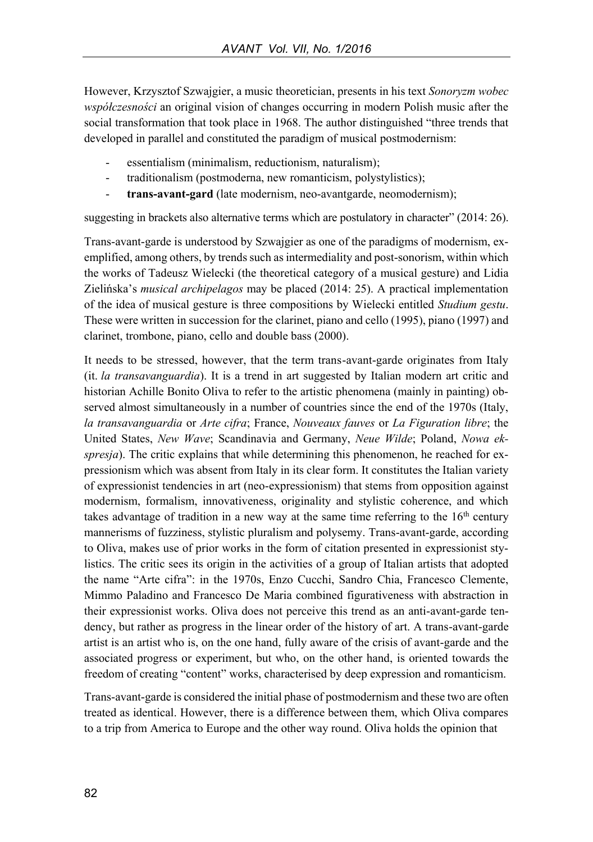However, Krzysztof Szwajgier, a music theoretician, presents in his text *Sonoryzm wobec współczesności* an original vision of changes occurring in modern Polish music after the social transformation that took place in 1968. The author distinguished "three trends that developed in parallel and constituted the paradigm of musical postmodernism:

- essentialism (minimalism, reductionism, naturalism);
- traditionalism (postmoderna, new romanticism, polystylistics);
- **trans-avant-gard** (late modernism, neo-avantgarde, neomodernism);

suggesting in brackets also alternative terms which are postulatory in character" (2014: 26).

Trans-avant-garde is understood by Szwajgier as one of the paradigms of modernism, exemplified, among others, by trends such as intermediality and post-sonorism, within which the works of Tadeusz Wielecki (the theoretical category of a musical gesture) and Lidia Zielińska's *musical archipelagos* may be placed (2014: 25). A practical implementation of the idea of musical gesture is three compositions by Wielecki entitled *Studium gestu*. These were written in succession for the clarinet, piano and cello (1995), piano (1997) and clarinet, trombone, piano, cello and double bass (2000).

It needs to be stressed, however, that the term trans-avant-garde originates from Italy (it. *la transavanguardia*). It is a trend in art suggested by Italian modern art critic and historian Achille Bonito Oliva to refer to the artistic phenomena (mainly in painting) observed almost simultaneously in a number of countries since the end of the 1970s (Italy, *la transavanguardia* or *Arte cifra*; France, *Nouveaux fauves* or *La Figuration libre*; the United States, *New Wave*; Scandinavia and Germany, *Neue Wilde*; Poland, *Nowa ekspresja*). The critic explains that while determining this phenomenon, he reached for expressionism which was absent from Italy in its clear form. It constitutes the Italian variety of expressionist tendencies in art (neo-expressionism) that stems from opposition against modernism, formalism, innovativeness, originality and stylistic coherence, and which takes advantage of tradition in a new way at the same time referring to the  $16<sup>th</sup>$  century mannerisms of fuzziness, stylistic pluralism and polysemy. Trans-avant-garde, according to Oliva, makes use of prior works in the form of citation presented in expressionist stylistics. The critic sees its origin in the activities of a group of Italian artists that adopted the name "Arte cifra": in the 1970s, Enzo Cucchi, Sandro Chia, Francesco Clemente, Mimmo Paladino and Francesco De Maria combined figurativeness with abstraction in their expressionist works. Oliva does not perceive this trend as an anti-avant-garde tendency, but rather as progress in the linear order of the history of art. A trans-avant-garde artist is an artist who is, on the one hand, fully aware of the crisis of avant-garde and the associated progress or experiment, but who, on the other hand, is oriented towards the freedom of creating "content" works, characterised by deep expression and romanticism.

Trans-avant-garde is considered the initial phase of postmodernism and these two are often treated as identical. However, there is a difference between them, which Oliva compares to a trip from America to Europe and the other way round. Oliva holds the opinion that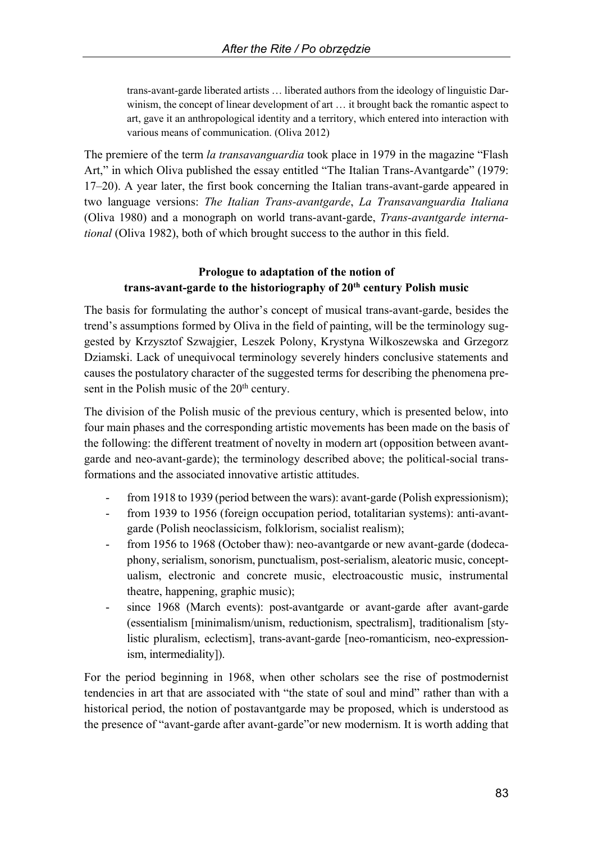trans-avant-garde liberated artists … liberated authors from the ideology of linguistic Darwinism, the concept of linear development of art … it brought back the romantic aspect to art, gave it an anthropological identity and a territory, which entered into interaction with various means of communication. (Oliva 2012)

The premiere of the term *la transavanguardia* took place in 1979 in the magazine "Flash Art," in which Oliva published the essay entitled "The Italian Trans-Avantgarde" (1979: 17–20). A year later, the first book concerning the Italian trans-avant-garde appeared in two language versions: *The Italian Trans-avantgarde*, *La Transavanguardia Italiana* (Oliva 1980) and a monograph on world trans-avant-garde, *Trans-avantgarde international* (Oliva 1982), both of which brought success to the author in this field.

### **Prologue to adaptation of the notion of trans-avant-garde to the historiography of 20th century Polish music**

The basis for formulating the author's concept of musical trans-avant-garde, besides the trend's assumptions formed by Oliva in the field of painting, will be the terminology suggested by Krzysztof Szwajgier, Leszek Polony, Krystyna Wilkoszewska and Grzegorz Dziamski. Lack of unequivocal terminology severely hinders conclusive statements and causes the postulatory character of the suggested terms for describing the phenomena present in the Polish music of the 20<sup>th</sup> century.

The division of the Polish music of the previous century, which is presented below, into four main phases and the corresponding artistic movements has been made on the basis of the following: the different treatment of novelty in modern art (opposition between avantgarde and neo-avant-garde); the terminology described above; the political-social transformations and the associated innovative artistic attitudes.

- from 1918 to 1939 (period between the wars): avant-garde (Polish expressionism);
- from 1939 to 1956 (foreign occupation period, totalitarian systems): anti-avantgarde (Polish neoclassicism, folklorism, socialist realism);
- from 1956 to 1968 (October thaw): neo-avantgarde or new avant-garde (dodecaphony, serialism, sonorism, punctualism, post-serialism, aleatoric music, conceptualism, electronic and concrete music, electroacoustic music, instrumental theatre, happening, graphic music);
- since 1968 (March events): post-avantgarde or avant-garde after avant-garde (essentialism [minimalism/unism, reductionism, spectralism], traditionalism [stylistic pluralism, eclectism], trans-avant-garde [neo-romanticism, neo-expressionism, intermediality]).

For the period beginning in 1968, when other scholars see the rise of postmodernist tendencies in art that are associated with "the state of soul and mind" rather than with a historical period, the notion of postavantgarde may be proposed, which is understood as the presence of "avant-garde after avant-garde"or new modernism. It is worth adding that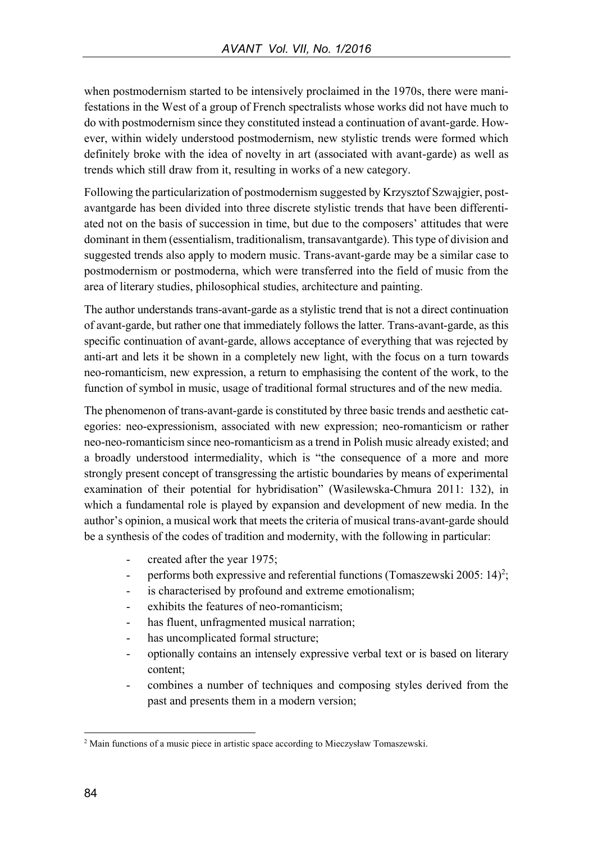when postmodernism started to be intensively proclaimed in the 1970s, there were manifestations in the West of a group of French spectralists whose works did not have much to do with postmodernism since they constituted instead a continuation of avant-garde. However, within widely understood postmodernism, new stylistic trends were formed which definitely broke with the idea of novelty in art (associated with avant-garde) as well as trends which still draw from it, resulting in works of a new category.

Following the particularization of postmodernism suggested by Krzysztof Szwajgier, postavantgarde has been divided into three discrete stylistic trends that have been differentiated not on the basis of succession in time, but due to the composers' attitudes that were dominant in them (essentialism, traditionalism, transavantgarde). This type of division and suggested trends also apply to modern music. Trans-avant-garde may be a similar case to postmodernism or postmoderna, which were transferred into the field of music from the area of literary studies, philosophical studies, architecture and painting.

The author understands trans-avant-garde as a stylistic trend that is not a direct continuation of avant-garde, but rather one that immediately follows the latter. Trans-avant-garde, as this specific continuation of avant-garde, allows acceptance of everything that was rejected by anti-art and lets it be shown in a completely new light, with the focus on a turn towards neo-romanticism, new expression, a return to emphasising the content of the work, to the function of symbol in music, usage of traditional formal structures and of the new media.

The phenomenon of trans-avant-garde is constituted by three basic trends and aesthetic categories: neo-expressionism, associated with new expression; neo-romanticism or rather neo-neo-romanticism since neo-romanticism as a trend in Polish music already existed; and a broadly understood intermediality, which is "the consequence of a more and more strongly present concept of transgressing the artistic boundaries by means of experimental examination of their potential for hybridisation" (Wasilewska-Chmura 2011: 132), in which a fundamental role is played by expansion and development of new media. In the author's opinion, a musical work that meets the criteria of musical trans-avant-garde should be a synthesis of the codes of tradition and modernity, with the following in particular:

- created after the year 1975;
- performs both expressive and referential functions (Tomaszewski 2005: 14)<sup>2</sup>;
- is characterised by profound and extreme emotionalism;
- exhibits the features of neo-romanticism:
- has fluent, unfragmented musical narration;
- has uncomplicated formal structure;
- optionally contains an intensely expressive verbal text or is based on literary content;
- combines a number of techniques and composing styles derived from the past and presents them in a modern version;

 $\overline{a}$ 

<sup>2</sup> Main functions of a music piece in artistic space according to Mieczysław Tomaszewski.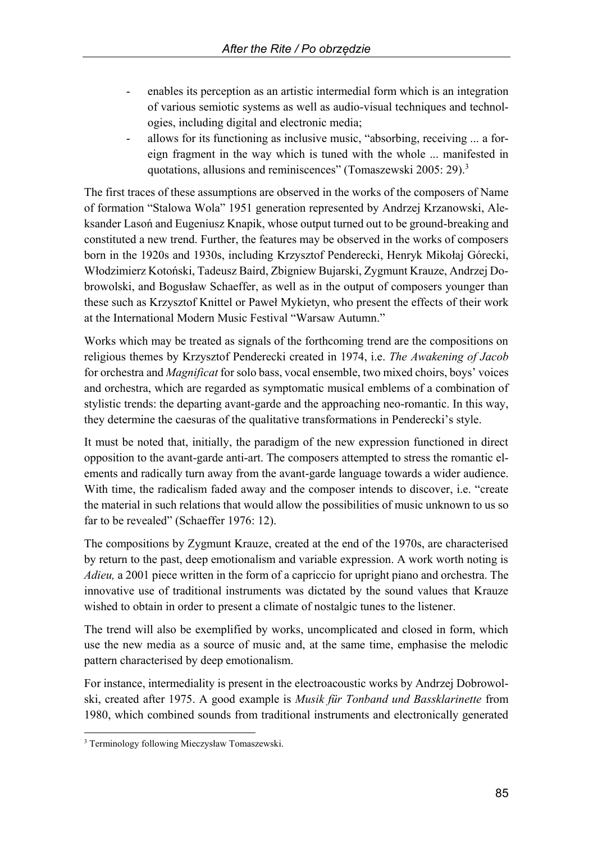- enables its perception as an artistic intermedial form which is an integration of various semiotic systems as well as audio-visual techniques and technologies, including digital and electronic media;
- allows for its functioning as inclusive music, "absorbing, receiving ... a foreign fragment in the way which is tuned with the whole ... manifested in quotations, allusions and reminiscences" (Tomaszewski 2005: 29).<sup>3</sup>

The first traces of these assumptions are observed in the works of the composers of Name of formation "Stalowa Wola" 1951 generation represented by Andrzej Krzanowski, Aleksander Lasoń and Eugeniusz Knapik, whose output turned out to be ground-breaking and constituted a new trend. Further, the features may be observed in the works of composers born in the 1920s and 1930s, including Krzysztof Penderecki, Henryk Mikołaj Górecki, Włodzimierz Kotoński, Tadeusz Baird, Zbigniew Bujarski, Zygmunt Krauze, Andrzej Dobrowolski, and Bogusław Schaeffer, as well as in the output of composers younger than these such as Krzysztof Knittel or Paweł Mykietyn, who present the effects of their work at the International Modern Music Festival "Warsaw Autumn."

Works which may be treated as signals of the forthcoming trend are the compositions on religious themes by Krzysztof Penderecki created in 1974, i.e. *The Awakening of Jacob*  for orchestra and *Magnificat* for solo bass, vocal ensemble, two mixed choirs, boys' voices and orchestra, which are regarded as symptomatic musical emblems of a combination of stylistic trends: the departing avant-garde and the approaching neo-romantic. In this way, they determine the caesuras of the qualitative transformations in Penderecki's style.

It must be noted that, initially, the paradigm of the new expression functioned in direct opposition to the avant-garde anti-art. The composers attempted to stress the romantic elements and radically turn away from the avant-garde language towards a wider audience. With time, the radicalism faded away and the composer intends to discover, i.e. "create the material in such relations that would allow the possibilities of music unknown to us so far to be revealed" (Schaeffer 1976: 12).

The compositions by Zygmunt Krauze, created at the end of the 1970s, are characterised by return to the past, deep emotionalism and variable expression. A work worth noting is *Adieu,* a 2001 piece written in the form of a capriccio for upright piano and orchestra. The innovative use of traditional instruments was dictated by the sound values that Krauze wished to obtain in order to present a climate of nostalgic tunes to the listener.

The trend will also be exemplified by works, uncomplicated and closed in form, which use the new media as a source of music and, at the same time, emphasise the melodic pattern characterised by deep emotionalism.

For instance, intermediality is present in the electroacoustic works by Andrzej Dobrowolski, created after 1975. A good example is *Musik für Tonband und Bassklarinette* from 1980, which combined sounds from traditional instruments and electronically generated

 $\overline{a}$ <sup>3</sup> Terminology following Mieczysław Tomaszewski.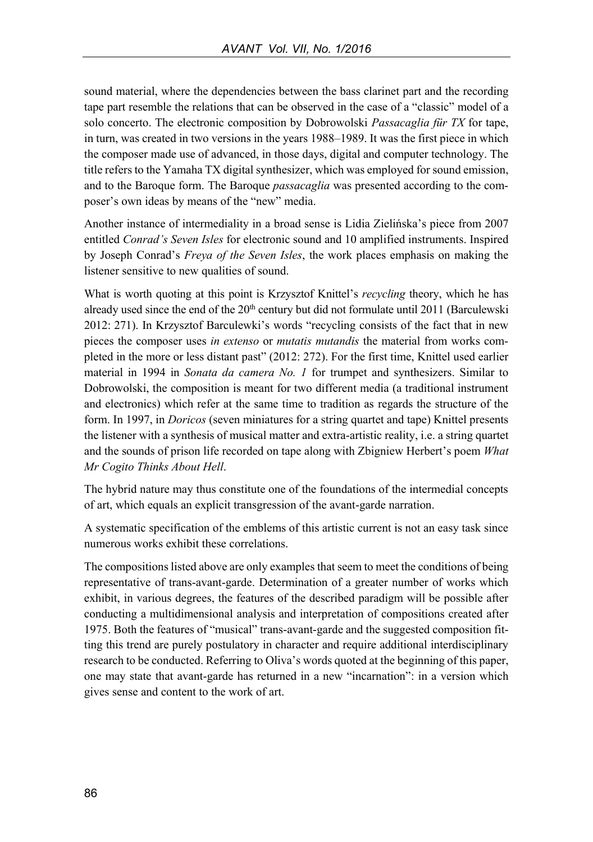sound material, where the dependencies between the bass clarinet part and the recording tape part resemble the relations that can be observed in the case of a "classic" model of a solo concerto. The electronic composition by Dobrowolski *Passacaglia für TX* for tape, in turn, was created in two versions in the years 1988–1989. It was the first piece in which the composer made use of advanced, in those days, digital and computer technology. The title refers to the Yamaha TX digital synthesizer, which was employed for sound emission, and to the Baroque form. The Baroque *passacaglia* was presented according to the composer's own ideas by means of the "new" media.

Another instance of intermediality in a broad sense is Lidia Zielińska's piece from 2007 entitled *Conrad's Seven Isles* for electronic sound and 10 amplified instruments. Inspired by Joseph Conrad's *Freya of the Seven Isles*, the work places emphasis on making the listener sensitive to new qualities of sound.

What is worth quoting at this point is Krzysztof Knittel's *recycling* theory, which he has already used since the end of the  $20<sup>th</sup>$  century but did not formulate until 2011 (Barculewski 2012: 271). In Krzysztof Barculewki's words "recycling consists of the fact that in new pieces the composer uses *in extenso* or *mutatis mutandis* the material from works completed in the more or less distant past" (2012: 272). For the first time, Knittel used earlier material in 1994 in *Sonata da camera No. 1* for trumpet and synthesizers. Similar to Dobrowolski, the composition is meant for two different media (a traditional instrument and electronics) which refer at the same time to tradition as regards the structure of the form. In 1997, in *Doricos* (seven miniatures for a string quartet and tape) Knittel presents the listener with a synthesis of musical matter and extra-artistic reality, i.e. a string quartet and the sounds of prison life recorded on tape along with Zbigniew Herbert's poem *What Mr Cogito Thinks About Hell*.

The hybrid nature may thus constitute one of the foundations of the intermedial concepts of art, which equals an explicit transgression of the avant-garde narration.

A systematic specification of the emblems of this artistic current is not an easy task since numerous works exhibit these correlations.

The compositions listed above are only examples that seem to meet the conditions of being representative of trans-avant-garde. Determination of a greater number of works which exhibit, in various degrees, the features of the described paradigm will be possible after conducting a multidimensional analysis and interpretation of compositions created after 1975. Both the features of "musical" trans-avant-garde and the suggested composition fitting this trend are purely postulatory in character and require additional interdisciplinary research to be conducted. Referring to Oliva's words quoted at the beginning of this paper, one may state that avant-garde has returned in a new "incarnation": in a version which gives sense and content to the work of art.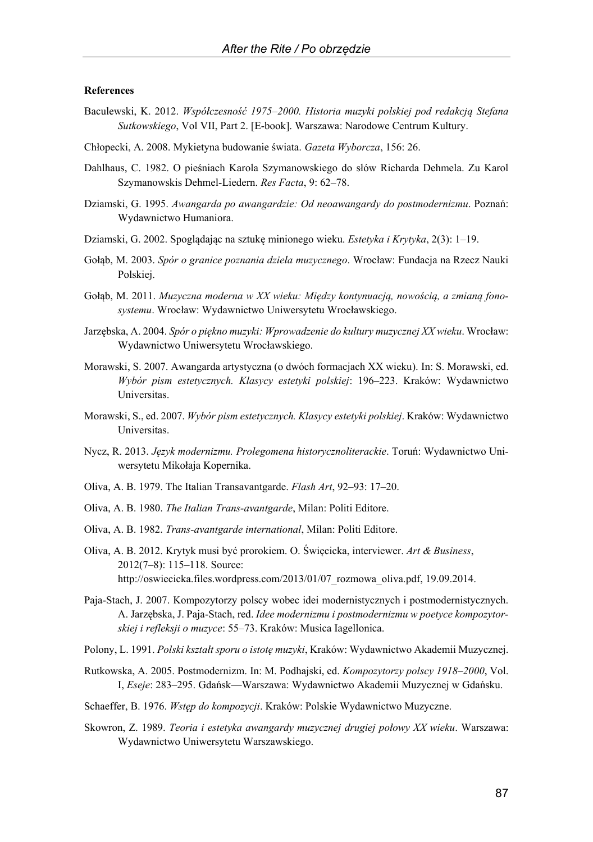#### **References**

- Baculewski, K. 2012. *Współczesność 1975*–*2000. Historia muzyki polskiej pod redakcją Stefana Sutkowskiego*, Vol VII, Part 2. [E-book]. Warszawa: Narodowe Centrum Kultury.
- Chłopecki, A. 2008. Mykietyna budowanie świata. *Gazeta Wyborcza*, 156: 26.
- Dahlhaus, C. 1982. O pieśniach Karola Szymanowskiego do słów Richarda Dehmela. Zu Karol Szymanowskis Dehmel-Liedern. *Res Facta*, 9: 62–78.
- Dziamski, G. 1995. *Awangarda po awangardzie: Od neoawangardy do postmodernizmu*. Poznań: Wydawnictwo Humaniora.
- Dziamski, G. 2002. Spoglądając na sztukę minionego wieku. *Estetyka i Krytyka*, 2(3): 1–19.
- Gołąb, M. 2003. *Spór o granice poznania dzieła muzycznego*. Wrocław: Fundacja na Rzecz Nauki Polskiej.
- Gołąb, M. 2011. *Muzyczna moderna w XX wieku: Między kontynuacją, nowością, a zmianą fonosystemu*. Wrocław: Wydawnictwo Uniwersytetu Wrocławskiego.
- Jarzębska, A. 2004. *Spór o piękno muzyki: Wprowadzenie do kultury muzycznej XX wieku*. Wrocław: Wydawnictwo Uniwersytetu Wrocławskiego.
- Morawski, S. 2007. Awangarda artystyczna (o dwóch formacjach XX wieku). In: S. Morawski, ed. *Wybór pism estetycznych. Klasycy estetyki polskiej*: 196–223. Kraków: Wydawnictwo Universitas.
- Morawski, S., ed. 2007. *Wybór pism estetycznych. Klasycy estetyki polskiej*. Kraków: Wydawnictwo Universitas.
- Nycz, R. 2013. *Język modernizmu. Prolegomena historycznoliterackie*. Toruń: Wydawnictwo Uniwersytetu Mikołaja Kopernika.
- Oliva, A. B. 1979. The Italian Transavantgarde. *Flash Art*, 92–93: 17–20.
- Oliva, A. B. 1980. *The Italian Trans-avantgarde*, Milan: Politi Editore.
- Oliva, A. B. 1982. *Trans-avantgarde international*, Milan: Politi Editore.
- Oliva, A. B. 2012. Krytyk musi być prorokiem. O. Święcicka, interviewer. *Art & Business*, 2012(7–8): 115–118. Source: http://oswiecicka.files.wordpress.com/2013/01/07\_rozmowa\_oliva.pdf, 19.09.2014.
- Paja-Stach, J. 2007. Kompozytorzy polscy wobec idei modernistycznych i postmodernistycznych. A. Jarzębska, J. Paja-Stach, red. *Idee modernizmu i postmodernizmu w poetyce kompozytorskiej i refleksji o muzyce*: 55–73. Kraków: Musica Iagellonica.
- Polony, L. 1991. *Polski kształt sporu o istotę muzyki*, Kraków: Wydawnictwo Akademii Muzycznej.
- Rutkowska, A. 2005. Postmodernizm. In: M. Podhajski, ed. *Kompozytorzy polscy 1918*–*2000*, Vol. I, *Eseje*: 283–295. Gdańsk—Warszawa: Wydawnictwo Akademii Muzycznej w Gdańsku.
- Schaeffer, B. 1976. *Wstęp do kompozycji*. Kraków: Polskie Wydawnictwo Muzyczne.
- Skowron, Z. 1989. *Teoria i estetyka awangardy muzycznej drugiej połowy XX wieku*. Warszawa: Wydawnictwo Uniwersytetu Warszawskiego.